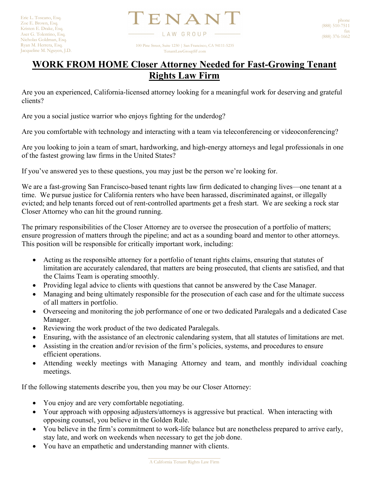$\Gamma$ ENAN' LAW GROUP 100 Pine Street, Suite 1250 | San Francisco, CA 94111-5235

TenantLawGroupSF.com

## **WORK FROM HOME Closer Attorney Needed for Fast-Growing Tenant Rights Law Firm**

Are you an experienced, California-licensed attorney looking for a meaningful work for deserving and grateful clients?

Are you a social justice warrior who enjoys fighting for the underdog?

Are you comfortable with technology and interacting with a team via teleconferencing or videoconferencing?

Are you looking to join a team of smart, hardworking, and high-energy attorneys and legal professionals in one of the fastest growing law firms in the United States?

If you've answered yes to these questions, you may just be the person we're looking for.

We are a fast-growing San Francisco-based tenant rights law firm dedicated to changing lives—one tenant at a time. We pursue justice for California renters who have been harassed, discriminated against, or illegally evicted; and help tenants forced out of rent-controlled apartments get a fresh start. We are seeking a rock star Closer Attorney who can hit the ground running.

The primary responsibilities of the Closer Attorney are to oversee the prosecution of a portfolio of matters; ensure progression of matters through the pipeline; and act as a sounding board and mentor to other attorneys. This position will be responsible for critically important work, including:

- Acting as the responsible attorney for a portfolio of tenant rights claims, ensuring that statutes of limitation are accurately calendared, that matters are being prosecuted, that clients are satisfied, and that the Claims Team is operating smoothly.
- Providing legal advice to clients with questions that cannot be answered by the Case Manager.
- Managing and being ultimately responsible for the prosecution of each case and for the ultimate success of all matters in portfolio.
- Overseeing and monitoring the job performance of one or two dedicated Paralegals and a dedicated Case Manager.
- Reviewing the work product of the two dedicated Paralegals.
- Ensuring, with the assistance of an electronic calendaring system, that all statutes of limitations are met.
- Assisting in the creation and/or revision of the firm's policies, systems, and procedures to ensure efficient operations.
- Attending weekly meetings with Managing Attorney and team, and monthly individual coaching meetings.

If the following statements describe you, then you may be our Closer Attorney:

- You enjoy and are very comfortable negotiating.
- Your approach with opposing adjusters/attorneys is aggressive but practical. When interacting with opposing counsel, you believe in the Golden Rule.
- You believe in the firm's commitment to work-life balance but are nonetheless prepared to arrive early, stay late, and work on weekends when necessary to get the job done.
- You have an empathetic and understanding manner with clients.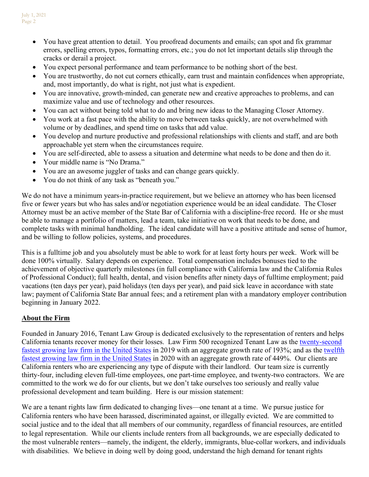- You have great attention to detail. You proofread documents and emails; can spot and fix grammar errors, spelling errors, typos, formatting errors, etc.; you do not let important details slip through the cracks or derail a project.
- You expect personal performance and team performance to be nothing short of the best.
- You are trustworthy, do not cut corners ethically, earn trust and maintain confidences when appropriate, and, most importantly, do what is right, not just what is expedient.
- You are innovative, growth-minded, can generate new and creative approaches to problems, and can maximize value and use of technology and other resources.
- You can act without being told what to do and bring new ideas to the Managing Closer Attorney.
- You work at a fast pace with the ability to move between tasks quickly, are not overwhelmed with volume or by deadlines, and spend time on tasks that add value.
- You develop and nurture productive and professional relationships with clients and staff, and are both approachable yet stern when the circumstances require.
- You are self-directed, able to assess a situation and determine what needs to be done and then do it.
- Your middle name is "No Drama."
- You are an awesome juggler of tasks and can change gears quickly.
- You do not think of any task as "beneath you."

We do not have a minimum years-in-practice requirement, but we believe an attorney who has been licensed five or fewer years but who has sales and/or negotiation experience would be an ideal candidate. The Closer Attorney must be an active member of the State Bar of California with a discipline-free record. He or she must be able to manage a portfolio of matters, lead a team, take initiative on work that needs to be done, and complete tasks with minimal handholding. The ideal candidate will have a positive attitude and sense of humor, and be willing to follow policies, systems, and procedures.

This is a fulltime job and you absolutely must be able to work for at least forty hours per week. Work will be done 100% virtually. Salary depends on experience. Total compensation includes bonuses tied to the achievement of objective quarterly milestones (in full compliance with California law and the California Rules of Professional Conduct); full health, dental, and vision benefits after ninety days of fulltime employment; paid vacations (ten days per year), paid holidays (ten days per year), and paid sick leave in accordance with state law; payment of California State Bar annual fees; and a retirement plan with a mandatory employer contribution beginning in January 2022.

## **About the Firm**

Founded in January 2016, Tenant Law Group is dedicated exclusively to the representation of renters and helps California tenants recover money for their losses. Law Firm 500 recognized Tenant Law as the [twenty-second](https://lawfirm500.com/2019-honoree-tenant-law-group/)  [fastest growing law firm in the United States](https://lawfirm500.com/2019-honoree-tenant-law-group/) in 2019 with an aggregate growth rate of 193%; and as the [twelfth](https://lawfirm500.com/2020-honoree-tenant-law-group-pc/)  [fastest growing law firm in the United States](https://lawfirm500.com/2020-honoree-tenant-law-group-pc/) in 2020 with an aggregate growth rate of 449%. Our clients are California renters who are experiencing any type of dispute with their landlord. Our team size is currently thirty-four, including eleven full-time employees, one part-time employee, and twenty-two contractors. We are committed to the work we do for our clients, but we don't take ourselves too seriously and really value professional development and team building. Here is our mission statement:

We are a tenant rights law firm dedicated to changing lives—one tenant at a time. We pursue justice for California renters who have been harassed, discriminated against, or illegally evicted. We are committed to social justice and to the ideal that all members of our community, regardless of financial resources, are entitled to legal representation. While our clients include renters from all backgrounds, we are especially dedicated to the most vulnerable renters—namely, the indigent, the elderly, immigrants, blue-collar workers, and individuals with disabilities. We believe in doing well by doing good, understand the high demand for tenant rights